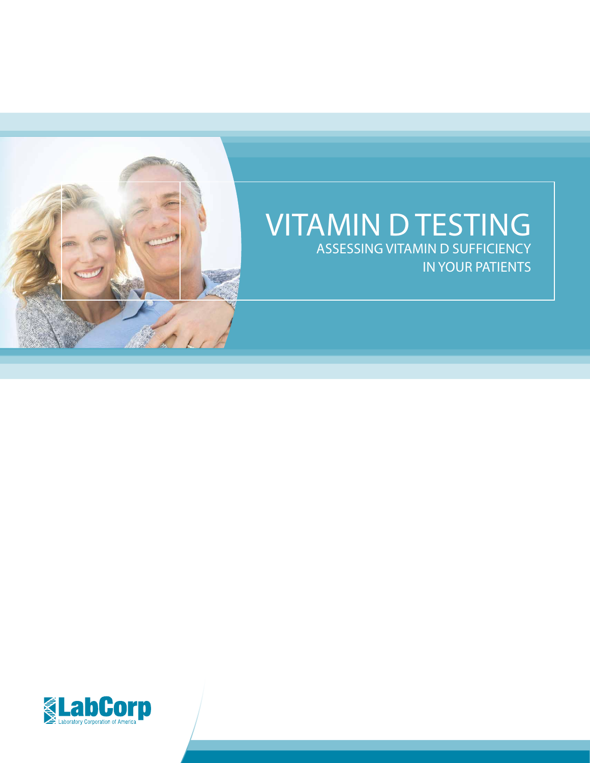

### VITAMIN D TESTING ASSESSING VITAMIN D SUFFICIENCY IN YOUR PATIENTS

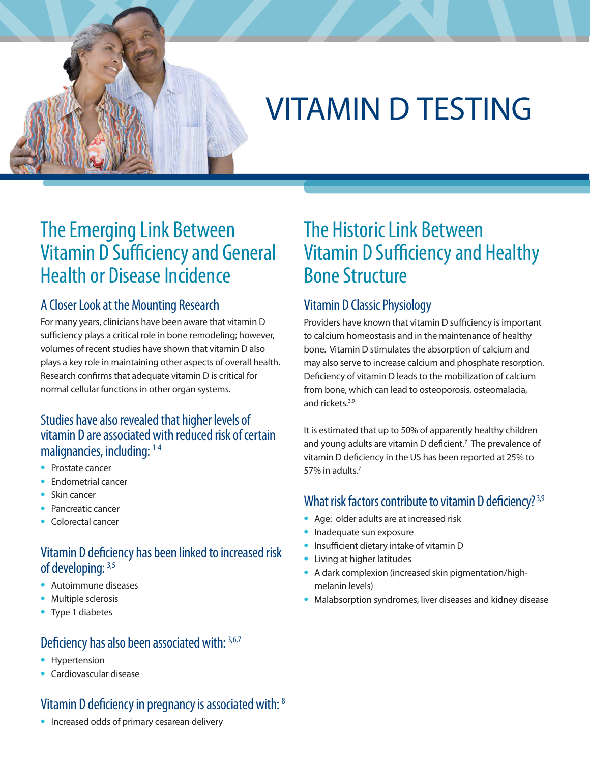# VITAMIN D TESTING

### The Emerging Link Between Vitamin D Sufficiency and General Health or Disease Incidence

#### A Closer Look at the Mounting Research

For many years, clinicians have been aware that vitamin D sufficiency plays a critical role in bone remodeling; however, volumes of recent studies have shown that vitamin D also plays a key role in maintaining other aspects of overall health. Research confirms that adequate vitamin D is critical for normal cellular functions in other organ systems.

#### Studies have also revealed that higher levels of vitamin D are associated with reduced risk of certain malignancies, including: 1-4

- **•** Prostate cancer
- **•** Endometrial cancer
- **•** Skin cancer
- **•** Pancreatic cancer
- **•** Colorectal cancer

#### Vitamin D deficiency has been linked to increased risk of developing: 3,5

- **•** Autoimmune diseases
- **•** Multiple sclerosis
- **•** Type 1 diabetes

#### Deficiency has also been associated with: 3,6,7

- **•** Hypertension
- **•** Cardiovascular disease

### Vitamin D deficiency in pregnancy is associated with: 8

#### **•** Increased odds of primary cesarean delivery

### The Historic Link Between Vitamin D Sufficiency and Healthy Bone Structure

#### Vitamin D Classic Physiology

Providers have known that vitamin D sufficiency is important to calcium homeostasis and in the maintenance of healthy bone. Vitamin D stimulates the absorption of calcium and may also serve to increase calcium and phosphate resorption. Deficiency of vitamin D leads to the mobilization of calcium from bone, which can lead to osteoporosis, osteomalacia, and rickets.<sup>3,9</sup>

It is estimated that up to 50% of apparently healthy children and young adults are vitamin D deficient.<sup>7</sup> The prevalence of vitamin D deficiency in the US has been reported at 25% to 57% in adults.7

#### What risk factors contribute to vitamin D deficiency?<sup>3,9</sup>

- **•** Age: older adults are at increased risk
- **•** Inadequate sun exposure
- **•** Insufficient dietary intake of vitamin D
- **•** Living at higher latitudes
- **•** A dark complexion (increased skin pigmentation/highmelanin levels)
- **•** Malabsorption syndromes, liver diseases and kidney disease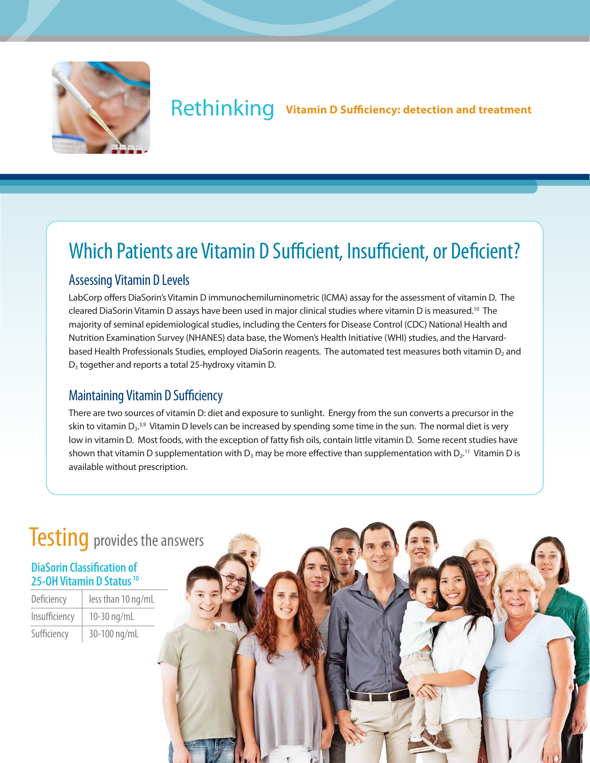

### Rethinking **Vitamin D Sufficiency: detection and treatment**

### Which Patients are Vitamin D Sufficient, Insufficient, or Deficient?

#### Assessing Vitamin D Levels

LabCorp offers DiaSorin's Vitamin D immunochemiluminometric (ICMA) assay for the assessment of vitamin D. The cleared DiaSorin Vitamin D assays have been used in major clinical studies where vitamin D is measured.<sup>10</sup> The majority of seminal epidemiological studies, including the Centers for Disease Control (CDC) National Health and Nutrition Examination Survey (NHANES) data base, the Women's Health Initiative (WHI) studies, and the Harvardbased Health Professionals Studies, employed DiaSorin reagents. The automated test measures both vitamin D<sub>2</sub> and D<sub>3</sub> together and reports a total 25-hydroxy vitamin D.

#### Maintaining Vitamin D Sufficiency

There are two sources of vitamin D: diet and exposure to sunlight. Energy from the sun converts a precursor in the skin to vitamin D3.<sup>3,9</sup> Vitamin D levels can be increased by spending some time in the sun. The normal diet is very low in vitamin D. Most foods, with the exception of fatty fish oils, contain little vitamin D. Some recent studies have shown that vitamin D supplementation with  $D_3$  may be more effective than supplementation with  $D_2$ .<sup>11</sup> Vitamin D is available without prescription.

## **Testing** provides the answers

#### **DiaSorin Classification of 25-OH Vitamin D Status 10**

| Deficiency    | less than 10 ng/mL |
|---------------|--------------------|
| Insufficiency | 10-30 ng/mL        |
| Sufficiency   | 30-100 ng/mL       |